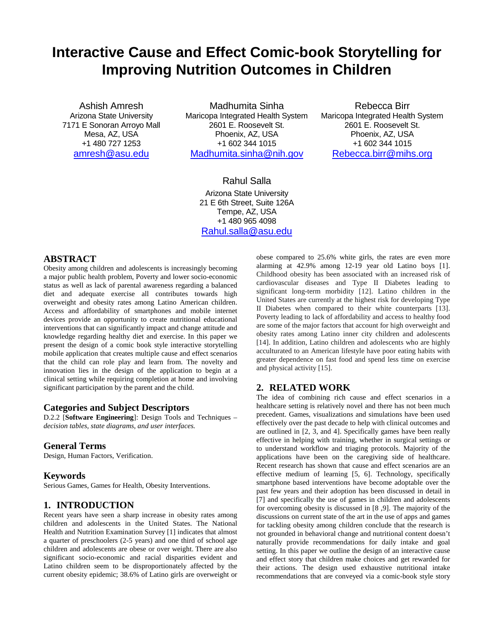# **Interactive Cause and Effect Comic-book Storytelling for Improving Nutrition Outcomes in Children**

Ashish Amresh Arizona State University 7171 E Sonoran Arroyo Mall Mesa, AZ, USA +1 480 727 1253 [amresh@asu.edu](mailto:amresh@asu.edu)

Madhumita Sinha Maricopa Integrated Health System 2601 E. Roosevelt St. Phoenix, AZ, USA +1 602 344 1015 [Madhumita.sinha@nih.gov](mailto:Madhumita.sinha@nih.gov)

Rebecca Birr Maricopa Integrated Health System 2601 E. Roosevelt St. Phoenix, AZ, USA +1 602 344 1015 [Rebecca.birr@mihs.org](mailto:Rebecca.birr@mihs.org)

# Rahul Salla Arizona State University 21 E 6th Street, Suite 126A Tempe, AZ, USA +1 480 965 4098 [Rahul.salla@asu.edu](mailto:Rahul.salla@asu.edu)

# **ABSTRACT**

Obesity among children and adolescents is increasingly becoming a major public health problem, Poverty and lower socio-economic status as well as lack of parental awareness regarding a balanced diet and adequate exercise all contributes towards high overweight and obesity rates among Latino American children. Access and affordability of smartphones and mobile internet devices provide an opportunity to create nutritional educational interventions that can significantly impact and change attitude and knowledge regarding healthy diet and exercise. In this paper we present the design of a comic book style interactive storytelling mobile application that creates multiple cause and effect scenarios that the child can role play and learn from. The novelty and innovation lies in the design of the application to begin at a clinical setting while requiring completion at home and involving significant participation by the parent and the child.

# **Categories and Subject Descriptors**

D.2.2 [**Software Engineering**]: Design Tools and Techniques – *decision tables, state diagrams, and user interfaces.* 

#### **General Terms**

Design, Human Factors, Verification.

#### **Keywords**

Serious Games, Games for Health, Obesity Interventions.

# **1. INTRODUCTION**

Recent years have seen a sharp increase in obesity rates among children and adolescents in the United States. The National Health and Nutrition Examination Survey [1] indicates that almost a quarter of preschoolers (2-5 years) and one third of school age children and adolescents are obese or over weight. There are also significant socio-economic and racial disparities evident and Latino children seem to be disproportionately affected by the current obesity epidemic; 38.6% of Latino girls are overweight or

obese compared to 25.6% white girls, the rates are even more alarming at 42.9% among 12-19 year old Latino boys [1]. Childhood obesity has been associated with an increased risk of cardiovascular diseases and Type II Diabetes leading to significant long-term morbidity [12]. Latino children in the United States are currently at the highest risk for developing Type II Diabetes when compared to their white counterparts [13]. Poverty leading to lack of affordability and access to healthy food are some of the major factors that account for high overweight and obesity rates among Latino inner city children and adolescents [14]. In addition, Latino children and adolescents who are highly acculturated to an American lifestyle have poor eating habits with greater dependence on fast food and spend less time on exercise and physical activity [15].

# **2. RELATED WORK**

The idea of combining rich cause and effect scenarios in a healthcare setting is relatively novel and there has not been much precedent. Games, visualizations and simulations have been used effectively over the past decade to help with clinical outcomes and are outlined in [2, 3, and 4]. Specifically games have been really effective in helping with training, whether in surgical settings or to understand workflow and triaging protocols. Majority of the applications have been on the caregiving side of healthcare. Recent research has shown that cause and effect scenarios are an effective medium of learning [5, 6]. Technology, specifically smartphone based interventions have become adoptable over the past few years and their adoption has been discussed in detail in [7] and specifically the use of games in children and adolescents for overcoming obesity is discussed in [8 ,9]. The majority of the discussions on current state of the art in the use of apps and games for tackling obesity among children conclude that the research is not grounded in behavioral change and nutritional content doesn't naturally provide recommendations for daily intake and goal setting. In this paper we outline the design of an interactive cause and effect story that children make choices and get rewarded for their actions. The design used exhaustive nutritional intake recommendations that are conveyed via a comic-book style story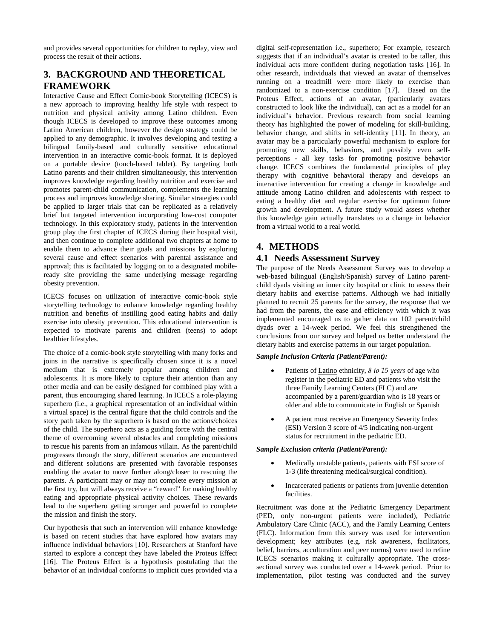and provides several opportunities for children to replay, view and process the result of their actions.

# **3. BACKGROUND AND THEORETICAL FRAMEWORK**

Interactive Cause and Effect Comic-book Storytelling (ICECS) is a new approach to improving healthy life style with respect to nutrition and physical activity among Latino children. Even though ICECS is developed to improve these outcomes among Latino American children, however the design strategy could be applied to any demographic. It involves developing and testing a bilingual family-based and culturally sensitive educational intervention in an interactive comic-book format. It is deployed on a portable device (touch-based tablet). By targeting both Latino parents and their children simultaneously, this intervention improves knowledge regarding healthy nutrition and exercise and promotes parent-child communication, complements the learning process and improves knowledge sharing. Similar strategies could be applied to larger trials that can be replicated as a relatively brief but targeted intervention incorporating low-cost computer technology. In this exploratory study, patients in the intervention group play the first chapter of ICECS during their hospital visit, and then continue to complete additional two chapters at home to enable them to advance their goals and missions by exploring several cause and effect scenarios with parental assistance and approval; this is facilitated by logging on to a designated mobileready site providing the same underlying message regarding obesity prevention.

ICECS focuses on utilization of interactive comic-book style storytelling technology to enhance knowledge regarding healthy nutrition and benefits of instilling good eating habits and daily exercise into obesity prevention. This educational intervention is expected to motivate parents and children (teens) to adopt healthier lifestyles.

The choice of a comic-book style storytelling with many forks and joins in the narrative is specifically chosen since it is a novel medium that is extremely popular among children and adolescents. It is more likely to capture their attention than any other media and can be easily designed for combined play with a parent, thus encouraging shared learning. In ICECS a role-playing superhero (i.e., a graphical representation of an individual within a virtual space) is the central figure that the child controls and the story path taken by the superhero is based on the actions/choices of the child. The superhero acts as a guiding force with the central theme of overcoming several obstacles and completing missions to rescue his parents from an infamous villain. As the parent/child progresses through the story, different scenarios are encountered and different solutions are presented with favorable responses enabling the avatar to move further along/closer to rescuing the parents. A participant may or may not complete every mission at the first try, but will always receive a "reward" for making healthy eating and appropriate physical activity choices. These rewards lead to the superhero getting stronger and powerful to complete the mission and finish the story.

Our hypothesis that such an intervention will enhance knowledge is based on recent studies that have explored how avatars may influence individual behaviors [10]. Researchers at Stanford have started to explore a concept they have labeled the Proteus Effect [16]. The Proteus Effect is a hypothesis postulating that the behavior of an individual conforms to implicit cues provided via a digital self-representation i.e., superhero; For example, research suggests that if an individual's avatar is created to be taller, this individual acts more confident during negotiation tasks [16]. In other research, individuals that viewed an avatar of themselves running on a treadmill were more likely to exercise than randomized to a non-exercise condition [17]. Based on the Proteus Effect, actions of an avatar, (particularly avatars constructed to look like the individual), can act as a model for an individual's behavior. Previous research from social learning theory has highlighted the power of modeling for skill-building, behavior change, and shifts in self-identity [11]. In theory, an avatar may be a particularly powerful mechanism to explore for promoting new skills, behaviors, and possibly even selfperceptions - all key tasks for promoting positive behavior change. ICECS combines the fundamental principles of play therapy with cognitive behavioral therapy and develops an interactive intervention for creating a change in knowledge and attitude among Latino children and adolescents with respect to eating a healthy diet and regular exercise for optimum future growth and development. A future study would assess whether this knowledge gain actually translates to a change in behavior from a virtual world to a real world.

# **4. METHODS**

## **4.1 Needs Assessment Survey**

The purpose of the Needs Assessment Survey was to develop a web-based bilingual (English/Spanish) survey of Latino parentchild dyads visiting an inner city hospital or clinic to assess their dietary habits and exercise patterns. Although we had initially planned to recruit 25 parents for the survey, the response that we had from the parents, the ease and efficiency with which it was implemented encouraged us to gather data on 102 parent/child dyads over a 14-week period. We feel this strengthened the conclusions from our survey and helped us better understand the dietary habits and exercise patterns in our target population.

#### *Sample Inclusion Criteria (Patient/Parent):*

- Patients of Latino ethnicity, *8 to 15 years* of age who register in the pediatric ED and patients who visit the three Family Learning Centers (FLC) and are accompanied by a parent/guardian who is 18 years or older and able to communicate in English or Spanish
- A patient must receive an Emergency Severity Index (ESI) Version 3 score of 4/5 indicating non-urgent status for recruitment in the pediatric ED.

#### *Sample Exclusion criteria (Patient/Parent):*

- Medically unstable patients, patients with ESI score of 1-3 (life threatening medical/surgical condition).
- Incarcerated patients or patients from juvenile detention facilities.

Recruitment was done at the Pediatric Emergency Department (PED, only non-urgent patients were included), Pediatric Ambulatory Care Clinic (ACC), and the Family Learning Centers (FLC). Information from this survey was used for intervention development; key attributes (e.g. risk awareness, facilitators, belief, barriers, acculturation and peer norms) were used to refine ICECS scenarios making it culturally appropriate. The crosssectional survey was conducted over a 14-week period. Prior to implementation, pilot testing was conducted and the survey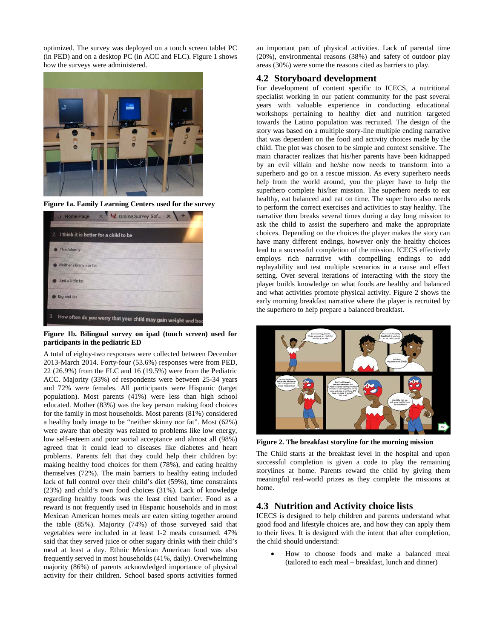optimized. The survey was deployed on a touch screen tablet PC (in PED) and on a desktop PC (in ACC and FLC). Figure 1 shows how the surveys were administered.



**Figure 1a. Family Learning Centers used for the survey**

| <b>Sy</b> Home Page    | I I Online Survey Sof<br>×                                     |
|------------------------|----------------------------------------------------------------|
| 2.                     | I think it is better for a child to be                         |
| Thin/skinny            |                                                                |
| Neither skinny nor fat |                                                                |
| Just a little fat      |                                                                |
| <b>Big and fat</b>     |                                                                |
| З.                     | How often do you worry that your child may gain weight and bec |

**Figure 1b. Bilingual survey on ipad (touch screen) used for participants in the pediatric ED**

A total of eighty-two responses were collected between December 2013-March 2014. Forty-four (53.6%) responses were from PED, 22 (26.9%) from the FLC and 16 (19.5%) were from the Pediatric ACC. Majority (33%) of respondents were between 25-34 years and 72% were females. All participants were Hispanic (target population). Most parents (41%) were less than high school educated. Mother (83%) was the key person making food choices for the family in most households. Most parents (81%) considered a healthy body image to be "neither skinny nor fat". Most (62%) were aware that obesity was related to problems like low energy, low self-esteem and poor social acceptance and almost all (98%) agreed that it could lead to diseases like diabetes and heart problems. Parents felt that they could help their children by: making healthy food choices for them (78%), and eating healthy themselves (72%). The main barriers to healthy eating included lack of full control over their child's diet (59%), time constraints (23%) and child's own food choices (31%). Lack of knowledge regarding healthy foods was the least cited barrier. Food as a reward is not frequently used in Hispanic households and in most Mexican American homes meals are eaten sitting together around the table (85%). Majority (74%) of those surveyed said that vegetables were included in at least 1-2 meals consumed. 47% said that they served juice or other sugary drinks with their child's meal at least a day. Ethnic Mexican American food was also frequently served in most households (41%, daily). Overwhelming majority (86%) of parents acknowledged importance of physical activity for their children. School based sports activities formed

an important part of physical activities. Lack of parental time (20%), environmental reasons (38%) and safety of outdoor play areas (30%) were some the reasons cited as barriers to play.

#### **4.2 Storyboard development**

For development of content specific to ICECS, a nutritional specialist working in our patient community for the past several years with valuable experience in conducting educational workshops pertaining to healthy diet and nutrition targeted towards the Latino population was recruited. The design of the story was based on a multiple story-line multiple ending narrative that was dependent on the food and activity choices made by the child. The plot was chosen to be simple and context sensitive. The main character realizes that his/her parents have been kidnapped by an evil villain and he/she now needs to transform into a superhero and go on a rescue mission. As every superhero needs help from the world around, you the player have to help the superhero complete his/her mission. The superhero needs to eat healthy, eat balanced and eat on time. The super hero also needs to perform the correct exercises and activities to stay healthy. The narrative then breaks several times during a day long mission to ask the child to assist the superhero and make the appropriate choices. Depending on the choices the player makes the story can have many different endings, however only the healthy choices lead to a successful completion of the mission. ICECS effectively employs rich narrative with compelling endings to add replayability and test multiple scenarios in a cause and effect setting. Over several iterations of interacting with the story the player builds knowledge on what foods are healthy and balanced and what activities promote physical activity. Figure 2 shows the early morning breakfast narrative where the player is recruited by the superhero to help prepare a balanced breakfast.



**Figure 2. The breakfast storyline for the morning mission**

The Child starts at the breakfast level in the hospital and upon successful completion is given a code to play the remaining storylines at home. Parents reward the child by giving them meaningful real-world prizes as they complete the missions at home.

## **4.3 Nutrition and Activity choice lists**

ICECS is designed to help children and parents understand what good food and lifestyle choices are, and how they can apply them to their lives. It is designed with the intent that after completion, the child should understand:

• How to choose foods and make a balanced meal (tailored to each meal – breakfast, lunch and dinner)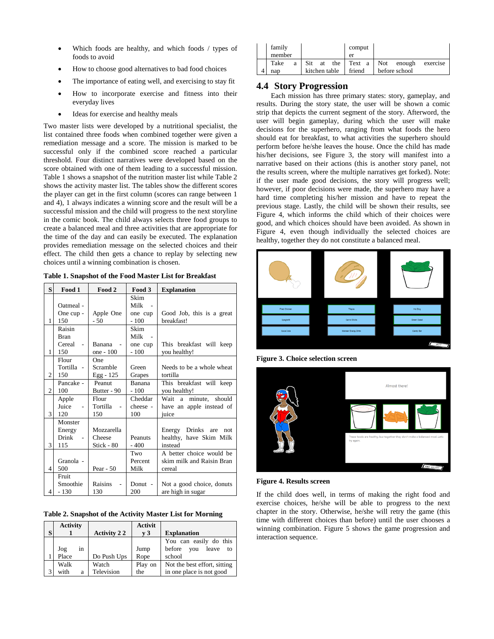- Which foods are healthy, and which foods / types of foods to avoid
- How to choose good alternatives to bad food choices
- The importance of eating well, and exercising to stay fit
- How to incorporate exercise and fitness into their everyday lives
- Ideas for exercise and healthy meals

Two master lists were developed by a nutritional specialist, the list contained three foods when combined together were given a remediation message and a score. The mission is marked to be successful only if the combined score reached a particular threshold. Four distinct narratives were developed based on the score obtained with one of them leading to a successful mission. Table 1 shows a snapshot of the nutrition master list while Table 2 shows the activity master list. The tables show the different scores the player can get in the first column (scores can range between 1 and 4), 1 always indicates a winning score and the result will be a successful mission and the child will progress to the next storyline in the comic book. The child always selects three food groups to create a balanced meal and three activities that are appropriate for the time of the day and can easily be executed. The explanation provides remediation message on the selected choices and their effect. The child then gets a chance to replay by selecting new choices until a winning combination is chosen.

| S              | Food 1                            | Food 2             | Food 3         | <b>Explanation</b>        |
|----------------|-----------------------------------|--------------------|----------------|---------------------------|
|                |                                   |                    | <b>Skim</b>    |                           |
|                | Oatmeal -                         |                    | Milk<br>$\sim$ |                           |
|                | One cup -                         | Apple One          | one cup        | Good Job, this is a great |
| $\mathbf{1}$   | 150                               | $-50$              | $-100$         | breakfast!                |
|                | Raisin                            |                    | Skim           |                           |
|                | <b>Bran</b>                       |                    | Milk<br>÷,     |                           |
|                | Cereal<br>$\sim$                  | Banana             | one cup        | This breakfast will keep  |
| $\mathbf{1}$   | 150                               | one - 100          | $-100$         | you healthy!              |
|                | Flour                             | One                |                |                           |
|                | Tortilla -                        | Scramble           | Green          | Needs to be a whole wheat |
| $\overline{c}$ | 150                               | Egg - 125          | Grapes         | tortilla                  |
|                | Pancake -                         | Peanut             | Banana         | This breakfast will keep  |
| $\overline{c}$ | 100                               | Butter - 90        | $-100$         | you healthy!              |
|                | Apple                             | Flour              | Cheddar        | Wait a minute, should     |
|                | Juice                             | Tortilla<br>$\sim$ | cheese -       | have an apple instead of  |
| 3              | 120                               | 150                | 100            | juice                     |
|                | Monster                           |                    |                |                           |
|                | Energy                            | Mozzarella         |                | Energy Drinks are<br>not  |
|                | Drink<br>$\overline{\phantom{a}}$ | Cheese             | Peanuts        | healthy, have Skim Milk   |
| 3              | 115                               | Stick - 80         | $-400$         | instead                   |
|                |                                   |                    | Two            | A better choice would be  |
|                | Granola -                         |                    | Percent        | skim milk and Raisin Bran |
| $\overline{4}$ | 500                               | Pear - $50$        | Milk           | cereal                    |
|                | Fruit                             |                    |                |                           |
|                | Smoothie                          | Raisins            | Donut -        | Not a good choice, donuts |
| 4              | $-130$                            | 130                | 200            | are high in sugar         |

**Table 1. Snapshot of the Food Master List for Breakfast**

**Table 2. Snapshot of the Activity Master List for Morning**

|              | <b>Activity</b> |    |                    | Activit        |                              |
|--------------|-----------------|----|--------------------|----------------|------------------------------|
| S            |                 |    | <b>Activity 22</b> | v <sub>3</sub> | <b>Explanation</b>           |
|              |                 |    |                    |                | You can easily do this       |
|              | Jog             | in |                    | Jump           | before you<br>leave<br>to    |
|              | Place           |    | Do Push Ups        | Rope           | school                       |
|              | Walk            |    | Watch              | Play on        | Not the best effort, sitting |
| $\mathbf{r}$ | with            | a  | Television         | the            | in one place is not good     |

| family<br>member |               | comput<br>er |                                                           |
|------------------|---------------|--------------|-----------------------------------------------------------|
| Take<br>a<br>nap | kitchen table | friend       | Sit at the Text a Not enough<br>exercise<br>before school |

# **4.4 Story Progression**

Each mission has three primary states: story, gameplay, and results. During the story state, the user will be shown a comic strip that depicts the current segment of the story. Afterword, the user will begin gameplay, during which the user will make decisions for the superhero, ranging from what foods the hero should eat for breakfast, to what activities the superhero should perform before he/she leaves the house. Once the child has made his/her decisions, see Figure 3, the story will manifest into a narrative based on their actions (this is another story panel, not the results screen, where the multiple narratives get forked). Note: if the user made good decisions, the story will progress well; however, if poor decisions were made, the superhero may have a hard time completing his/her mission and have to repeat the previous stage. Lastly, the child will be shown their results, see Figure 4, which informs the child which of their choices were good, and which choices should have been avoided. As shown in Figure 4, even though individually the selected choices are healthy, together they do not constitute a balanced meal.

|               | 17.                  |             |
|---------------|----------------------|-------------|
| Fried Chicken | Tilapia              | Hot Dog     |
| Spagnetti     | Cent Stos            | Green Salad |
| Coca Cola     | Monster Energy Drink | Candy Bar   |
|               |                      | ear         |

**Figure 3. Choice selection screen**





If the child does well, in terms of making the right food and exercise choices, he/she will be able to progress to the next chapter in the story. Otherwise, he/she will retry the game (this time with different choices than before) until the user chooses a winning combination. Figure 5 shows the game progression and interaction sequence.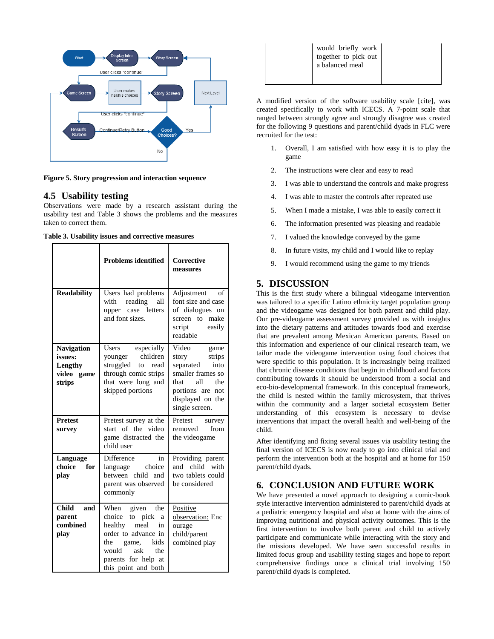

**Figure 5. Story progression and interaction sequence**

# **4.5 Usability testing**

Observations were made by a research assistant during the usability test and Table 3 shows the problems and the measures taken to correct them.

**Table 3. Usability issues and corrective measures**

|                                                                 | <b>Problems identified</b>                                                                                                                                                               | Corrective<br>measures                                                                                                                                  |
|-----------------------------------------------------------------|------------------------------------------------------------------------------------------------------------------------------------------------------------------------------------------|---------------------------------------------------------------------------------------------------------------------------------------------------------|
| <b>Readability</b>                                              | Users had problems<br>reading<br>with<br>all<br>upper case letters<br>and font sizes.                                                                                                    | Adjustment of<br>font size and case<br>of dialogues on<br>screen to<br>make<br>script<br>easily<br>readable                                             |
| <b>Navigation</b><br>issues:<br>Lengthy<br>video game<br>strips | Users especially<br>children<br>younger<br>struggled to<br>read<br>through comic strips<br>that were long and<br>skipped portions                                                        | Video game<br>story<br>strips<br>separated<br>into<br>smaller frames so<br>all<br>that<br>the<br>portions are not<br>displayed on the<br>single screen. |
| <b>Pretest</b><br>survey                                        | Pretest survey at the<br>start of the video<br>game distracted the<br>child user                                                                                                         | Pretest<br>survey<br>from<br>removed<br>the videogame                                                                                                   |
| Language<br>choice<br>for<br>play                               | Difference<br>in<br>choice<br>language<br>between child and<br>parent was observed<br>commonly                                                                                           | Providing parent<br>and child with<br>two tablets could<br>be considered                                                                                |
| Child<br>and<br>parent<br>combined<br>play                      | When<br>given<br>the<br>choice<br>to pick<br>a<br>healthy<br>meal<br>in<br>order to advance in<br>game, kids<br>the<br>would<br>ask<br>the<br>parents for help at<br>this point and both | Positive<br>observation: Enc<br>ourage<br>child/parent<br>combined play                                                                                 |

would briefly work together to pick out a balanced meal

A modified version of the software usability scale [cite], was created specifically to work with ICECS. A 7-point scale that ranged between strongly agree and strongly disagree was created for the following 9 questions and parent/child dyads in FLC were recruited for the test:

- 1. Overall, I am satisfied with how easy it is to play the game
- 2. The instructions were clear and easy to read
- 3. I was able to understand the controls and make progress
- 4. I was able to master the controls after repeated use
- 5. When I made a mistake, I was able to easily correct it
- 6. The information presented was pleasing and readable
- 7. I valued the knowledge conveyed by the game
- 8. In future visits, my child and I would like to replay
- 9. I would recommend using the game to my friends

# **5. DISCUSSION**

This is the first study where a bilingual videogame intervention was tailored to a specific Latino ethnicity target population group and the videogame was designed for both parent and child play. Our pre-videogame assessment survey provided us with insights into the dietary patterns and attitudes towards food and exercise that are prevalent among Mexican American parents. Based on this information and experience of our clinical research team, we tailor made the videogame intervention using food choices that were specific to this population. It is increasingly being realized that chronic disease conditions that begin in childhood and factors contributing towards it should be understood from a social and eco-bio-developmental framework. In this conceptual framework, the child is nested within the family microsystem, that thrives within the community and a larger societal ecosystem Better understanding of this ecosystem is necessary to devise interventions that impact the overall health and well-being of the child.

After identifying and fixing several issues via usability testing the final version of ICECS is now ready to go into clinical trial and perform the intervention both at the hospital and at home for 150 parent/child dyads.

# **6. CONCLUSION AND FUTURE WORK**

We have presented a novel approach to designing a comic-book style interactive intervention administered to parent/child dyads at a pediatric emergency hospital and also at home with the aims of improving nutritional and physical activity outcomes. This is the first intervention to involve both parent and child to actively participate and communicate while interacting with the story and the missions developed. We have seen successful results in limited focus group and usability testing stages and hope to report comprehensive findings once a clinical trial involving 150 parent/child dyads is completed.